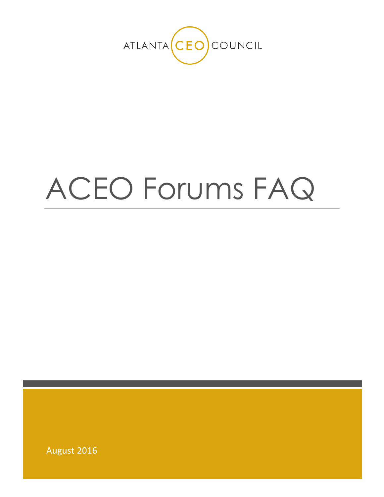

# ACEO Forums FAQ

August 2016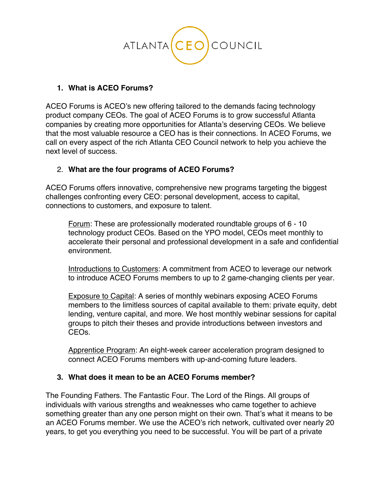

# **1. What is ACEO Forums?**

ACEO Forums is ACEO's new offering tailored to the demands facing technology product company CEOs. The goal of ACEO Forums is to grow successful Atlanta companies by creating more opportunities for Atlanta's deserving CEOs. We believe that the most valuable resource a CEO has is their connections. In ACEO Forums, we call on every aspect of the rich Atlanta CEO Council network to help you achieve the next level of success.

# 2. **What are the four programs of ACEO Forums?**

ACEO Forums offers innovative, comprehensive new programs targeting the biggest challenges confronting every CEO: personal development, access to capital, connections to customers, and exposure to talent.

Forum: These are professionally moderated roundtable groups of 6 - 10 technology product CEOs. Based on the YPO model, CEOs meet monthly to accelerate their personal and professional development in a safe and confidential environment.

Introductions to Customers: A commitment from ACEO to leverage our network to introduce ACEO Forums members to up to 2 game-changing clients per year.

Exposure to Capital: A series of monthly webinars exposing ACEO Forums members to the limitless sources of capital available to them: private equity, debt lending, venture capital, and more. We host monthly webinar sessions for capital groups to pitch their theses and provide introductions between investors and CEOs.

Apprentice Program: An eight-week career acceleration program designed to connect ACEO Forums members with up-and-coming future leaders.

# **3. What does it mean to be an ACEO Forums member?**

The Founding Fathers. The Fantastic Four. The Lord of the Rings. All groups of individuals with various strengths and weaknesses who came together to achieve something greater than any one person might on their own. That's what it means to be an ACEO Forums member. We use the ACEO's rich network, cultivated over nearly 20 years, to get you everything you need to be successful. You will be part of a private